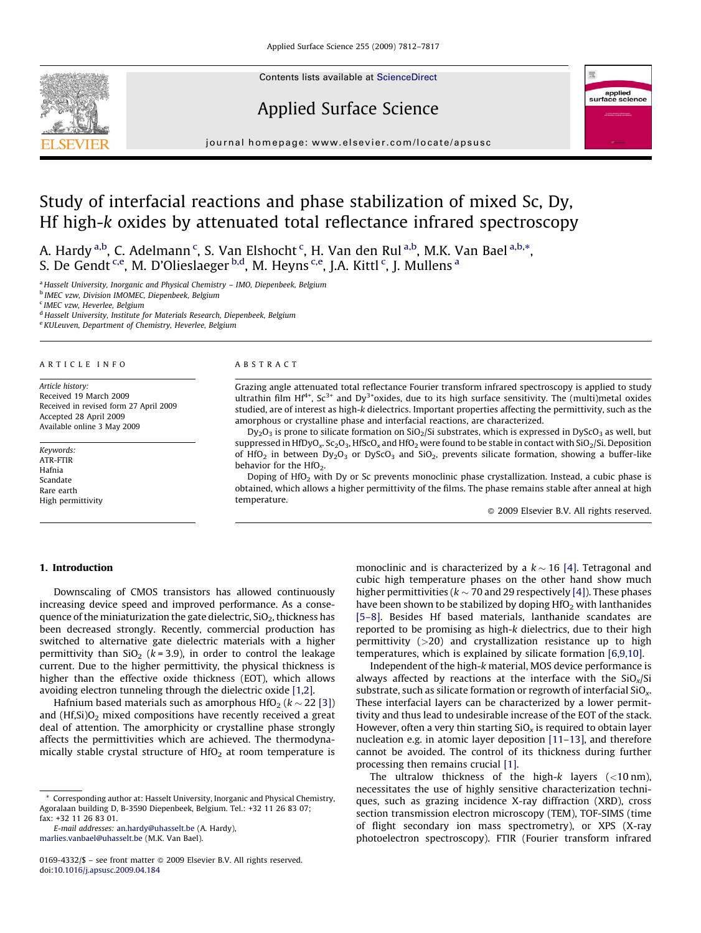Contents lists available at [ScienceDirect](http://www.sciencedirect.com/science/journal/01694332)







journal homepage: www.elsevier.com/locate/apsusc

# Study of interfacial reactions and phase stabilization of mixed Sc, Dy, Hf high-k oxides by attenuated total reflectance infrared spectroscopy

A. Hardy <sup>a,b</sup>, C. Adelmann <sup>c</sup>, S. Van Elshocht <sup>c</sup>, H. Van den Rul <sup>a,b</sup>, M.K. Van Bael <sup>a,b,</sup>\*, S. De Gendt <sup>c,e</sup>, M. D'Olieslaeger <sup>b,d</sup>, M. Heyns <sup>c,e</sup>, J.A. Kittl <sup>c</sup>, J. Mullens <sup>a</sup>

<sup>a</sup> Hasselt University, Inorganic and Physical Chemistry - IMO, Diepenbeek, Belgium

<sup>b</sup> IMEC vzw, Division IMOMEC, Diepenbeek, Belgium

<sup>c</sup> IMEC vzw, Heverlee, Belgium

<sup>d</sup> Hasselt University, Institute for Materials Research, Diepenbeek, Belgium

<sup>e</sup> KULeuven, Department of Chemistry, Heverlee, Belgium

# ARTICLE INFO

Article history: Received 19 March 2009 Received in revised form 27 April 2009 Accepted 28 April 2009 Available online 3 May 2009

Keywords: ATR-FTIR Hafnia Scandate Rare earth High permittivity

#### ABSTRACT

Grazing angle attenuated total reflectance Fourier transform infrared spectroscopy is applied to study ultrathin film Hf<sup>4+</sup>, Sc<sup>3+</sup> and Dy<sup>3+</sup>oxides, due to its high surface sensitivity. The (multi)metal oxides studied, are of interest as high-k dielectrics. Important properties affecting the permittivity, such as the amorphous or crystalline phase and interfacial reactions, are characterized.

 $Dy_2O_3$  is prone to silicate formation on SiO<sub>2</sub>/Si substrates, which is expressed in DyScO<sub>3</sub> as well, but suppressed in HfDyO<sub>x</sub>. Sc<sub>2</sub>O<sub>3</sub>, HfScO<sub>x</sub> and HfO<sub>2</sub> were found to be stable in contact with SiO<sub>2</sub>/Si. Deposition of HfO<sub>2</sub> in between Dy<sub>2</sub>O<sub>3</sub> or DyScO<sub>3</sub> and SiO<sub>2</sub>, prevents silicate formation, showing a buffer-like behavior for the  $HfO<sub>2</sub>$ .

Doping of HfO<sub>2</sub> with Dy or Sc prevents monoclinic phase crystallization. Instead, a cubic phase is obtained, which allows a higher permittivity of the films. The phase remains stable after anneal at high temperature.

 $\odot$  2009 Elsevier B.V. All rights reserved.

# 1. Introduction

Downscaling of CMOS transistors has allowed continuously increasing device speed and improved performance. As a consequence of the miniaturization the gate dielectric,  $SiO<sub>2</sub>$ , thickness has been decreased strongly. Recently, commercial production has switched to alternative gate dielectric materials with a higher permittivity than  $SiO<sub>2</sub>$  (k = 3.9), in order to control the leakage current. Due to the higher permittivity, the physical thickness is higher than the effective oxide thickness (EOT), which allows avoiding electron tunneling through the dielectric oxide [\[1,2\].](#page-4-0)

Hafnium based materials such as amorphous HfO $_2$  ( $k$   $\sim$  22 [\[3\]\)](#page-4-0) and  $(Hf,Si)O<sub>2</sub>$  mixed compositions have recently received a great deal of attention. The amorphicity or crystalline phase strongly affects the permittivities which are achieved. The thermodynamically stable crystal structure of  $HfO<sub>2</sub>$  at room temperature is

monoclinic and is characterized by a  $k \sim 16$  [\[4\].](#page-4-0) Tetragonal and cubic high temperature phases on the other hand show much higher permittivities ( $k \sim 70$  and 29 respectively [\[4\]](#page-4-0)). These phases have been shown to be stabilized by doping  $HfO<sub>2</sub>$  with lanthanides [\[5–8\]](#page-4-0). Besides Hf based materials, lanthanide scandates are reported to be promising as high-k dielectrics, due to their high permittivity (>20) and crystallization resistance up to high temperatures, which is explained by silicate formation [\[6,9,10\].](#page-4-0)

Independent of the high-k material, MOS device performance is always affected by reactions at the interface with the  $SiO<sub>x</sub>/Si$ substrate, such as silicate formation or regrowth of interfacial  $SiO<sub>x</sub>$ . These interfacial layers can be characterized by a lower permittivity and thus lead to undesirable increase of the EOT of the stack. However, often a very thin starting  $SiO<sub>x</sub>$  is required to obtain layer nucleation e.g. in atomic layer deposition [\[11–13\],](#page-4-0) and therefore cannot be avoided. The control of its thickness during further processing then remains crucial [\[1\]](#page-4-0).

The ultralow thickness of the high- $k$  layers ( $<$ 10 nm), necessitates the use of highly sensitive characterization techniques, such as grazing incidence X-ray diffraction (XRD), cross section transmission electron microscopy (TEM), TOF-SIMS (time of flight secondary ion mass spectrometry), or XPS (X-ray photoelectron spectroscopy). FTIR (Fourier transform infrared

<sup>\*</sup> Corresponding author at: Hasselt University, Inorganic and Physical Chemistry, Agoralaan building D, B-3590 Diepenbeek, Belgium. Tel.: +32 11 26 83 07; fax: +32 11 26 83 01.

E-mail addresses: [an.hardy@uhasselt.be](mailto:an.hardy@uhasselt.be) (A. Hardy), [marlies.vanbael@uhasselt.be](mailto:marlies.vanbael@uhasselt.be) (M.K. Van Bael).

<sup>0169-4332/\$ –</sup> see front matter © 2009 Elsevier B.V. All rights reserved. doi:[10.1016/j.apsusc.2009.04.184](http://dx.doi.org/10.1016/j.apsusc.2009.04.184)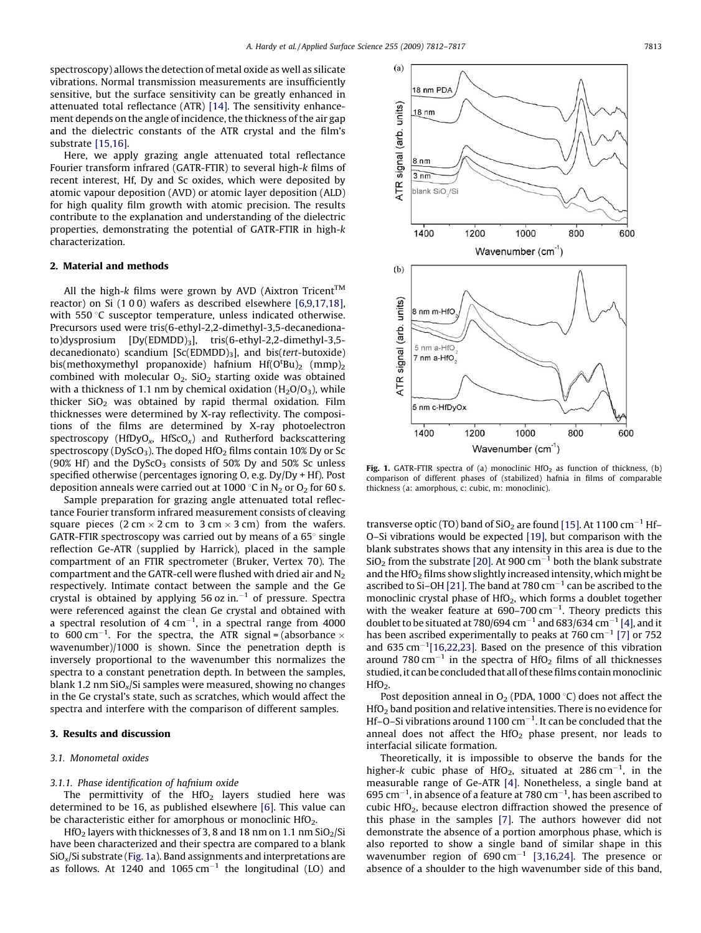$(a)$ 

<span id="page-1-0"></span>spectroscopy) allows the detection of metal oxide as well as silicate vibrations. Normal transmission measurements are insufficiently sensitive, but the surface sensitivity can be greatly enhanced in attenuated total reflectance (ATR) [\[14\]](#page-4-0). The sensitivity enhancement depends on the angle of incidence, the thickness of the air gap and the dielectric constants of the ATR crystal and the film's substrate [\[15,16\].](#page-4-0)

Here, we apply grazing angle attenuated total reflectance Fourier transform infrared (GATR-FTIR) to several high-k films of recent interest, Hf, Dy and Sc oxides, which were deposited by atomic vapour deposition (AVD) or atomic layer deposition (ALD) for high quality film growth with atomic precision. The results contribute to the explanation and understanding of the dielectric properties, demonstrating the potential of GATR-FTIR in high-k characterization.

### 2. Material and methods

All the high-k films were grown by AVD (Aixtron Tricent<sup>TM</sup> reactor) on Si (1 0 0) wafers as described elsewhere [\[6,9,17,18\],](#page-4-0) with 550 °C susceptor temperature, unless indicated otherwise. Precursors used were tris(6-ethyl-2,2-dimethyl-3,5-decanedionato)dysprosium [Dy(EDMDD)<sub>3</sub>], tris(6-ethyl-2,2-dimethyl-3,5decanedionato) scandium  $[Sc(EDMDD)<sub>3</sub>]$ , and bis(tert-butoxide) bis(methoxymethyl propanoxide) hafnium  $Hf(O<sup>t</sup>Bu)<sub>2</sub>$  (mmp)<sub>2</sub> combined with molecular  $O_2$ . Si $O_2$  starting oxide was obtained with a thickness of 1.1 nm by chemical oxidation  $(H_2O/O_3)$ , while thicker  $SiO<sub>2</sub>$  was obtained by rapid thermal oxidation. Film thicknesses were determined by X-ray reflectivity. The compositions of the films are determined by X-ray photoelectron spectroscopy (HfDyO<sub>x</sub>, HfScO<sub>x</sub>) and Rutherford backscattering spectroscopy ( $DyScO<sub>3</sub>$ ). The doped HfO<sub>2</sub> films contain 10% Dy or Sc (90% Hf) and the DyScO<sub>3</sub> consists of 50% Dy and 50% Sc unless specified otherwise (percentages ignoring O, e.g. Dy/Dy + Hf). Post deposition anneals were carried out at 1000 °C in  $N_2$  or  $O_2$  for 60 s.

Sample preparation for grazing angle attenuated total reflectance Fourier transform infrared measurement consists of cleaving square pieces (2 cm  $\times$  2 cm to 3 cm  $\times$  3 cm) from the wafers. GATR-FTIR spectroscopy was carried out by means of a  $65^{\circ}$  single reflection Ge-ATR (supplied by Harrick), placed in the sample compartment of an FTIR spectrometer (Bruker, Vertex 70). The compartment and the GATR-cell were flushed with dried air and  $N_2$ respectively. Intimate contact between the sample and the Ge crystal is obtained by applying 56 oz in. $^{-1}$  of pressure. Spectra were referenced against the clean Ge crystal and obtained with a spectral resolution of  $4 \text{ cm}^{-1}$ , in a spectral range from  $4000$ to 600 cm<sup>-1</sup>. For the spectra, the ATR signal = (absorbance  $\times$ wavenumber)/1000 is shown. Since the penetration depth is inversely proportional to the wavenumber this normalizes the spectra to a constant penetration depth. In between the samples, blank 1.2 nm  $SiO<sub>x</sub>/Si$  samples were measured, showing no changes in the Ge crystal's state, such as scratches, which would affect the spectra and interfere with the comparison of different samples.

# 3. Results and discussion

#### 3.1. Monometal oxides

#### 3.1.1. Phase identification of hafnium oxide

The permittivity of the  $HfO<sub>2</sub>$  layers studied here was determined to be 16, as published elsewhere [\[6\].](#page-4-0) This value can be characteristic either for amorphous or monoclinic HfO<sub>2</sub>.

HfO<sub>2</sub> layers with thicknesses of 3, 8 and 18 nm on 1.1 nm  $SiO<sub>2</sub>/Si$ have been characterized and their spectra are compared to a blank  $SiO<sub>x</sub>/Si$  substrate (Fig. 1a). Band assignments and interpretations are as follows. At 1240 and 1065  $cm^{-1}$  the longitudinal (LO) and



Fig. 1. GATR-FTIR spectra of (a) monoclinic  $HfO<sub>2</sub>$  as function of thickness, (b) comparison of different phases of (stabilized) hafnia in films of comparable thickness (a: amorphous, c: cubic, m: monoclinic).

transverse optic (TO) band of SiO<sub>2</sub> are found [\[15\]](#page-4-0). At 1100 cm<sup>-1</sup> Hf-O–Si vibrations would be expected [\[19\],](#page-4-0) but comparison with the blank substrates shows that any intensity in this area is due to the  $SiO<sub>2</sub>$  from the substrate [\[20\]](#page-4-0). At 900 cm<sup>-1</sup> both the blank substrate and the HfO<sub>2</sub> films show slightly increased intensity, which might be ascribed to Si-OH [\[21\].](#page-4-0) The band at 780  $cm^{-1}$  can be ascribed to the monoclinic crystal phase of HfO<sub>2</sub>, which forms a doublet together with the weaker feature at  $690-700$  cm<sup>-1</sup>. Theory predicts this doublet to be situated at 780/694 cm<sup>-1</sup> and 683/634 cm<sup>-1</sup> [\[4\]](#page-4-0), and it has been ascribed experimentally to peaks at 760 cm<sup>-1</sup> [\[7\]](#page-4-0) or 752 and  $635 \text{ cm}^{-1}$ [\[16,22,23\]](#page-4-0). Based on the presence of this vibration around 780 cm<sup>-1</sup> in the spectra of HfO<sub>2</sub> films of all thicknesses studied, it can be concluded that all of these films contain monoclinic  $HfO<sub>2</sub>$ .

Post deposition anneal in  $O_2$  (PDA, 1000 °C) does not affect the HfO2 band position and relative intensities. There is no evidence for Hf-O-Si vibrations around 1100  $cm^{-1}$ . It can be concluded that the anneal does not affect the  $HfO<sub>2</sub>$  phase present, nor leads to interfacial silicate formation.

Theoretically, it is impossible to observe the bands for the higher-k cubic phase of HfO<sub>2</sub>, situated at  $286 \text{ cm}^{-1}$ , in the measurable range of Ge-ATR [\[4\].](#page-4-0) Nonetheless, a single band at  $695$  cm $^{-1}$ , in absence of a feature at 780 cm $^{-1}$ , has been ascribed to cubic HfO2, because electron diffraction showed the presence of this phase in the samples [\[7\].](#page-4-0) The authors however did not demonstrate the absence of a portion amorphous phase, which is also reported to show a single band of similar shape in this wavenumber region of  $690 \text{ cm}^{-1}$  [\[3,16,24\]](#page-4-0). The presence or absence of a shoulder to the high wavenumber side of this band,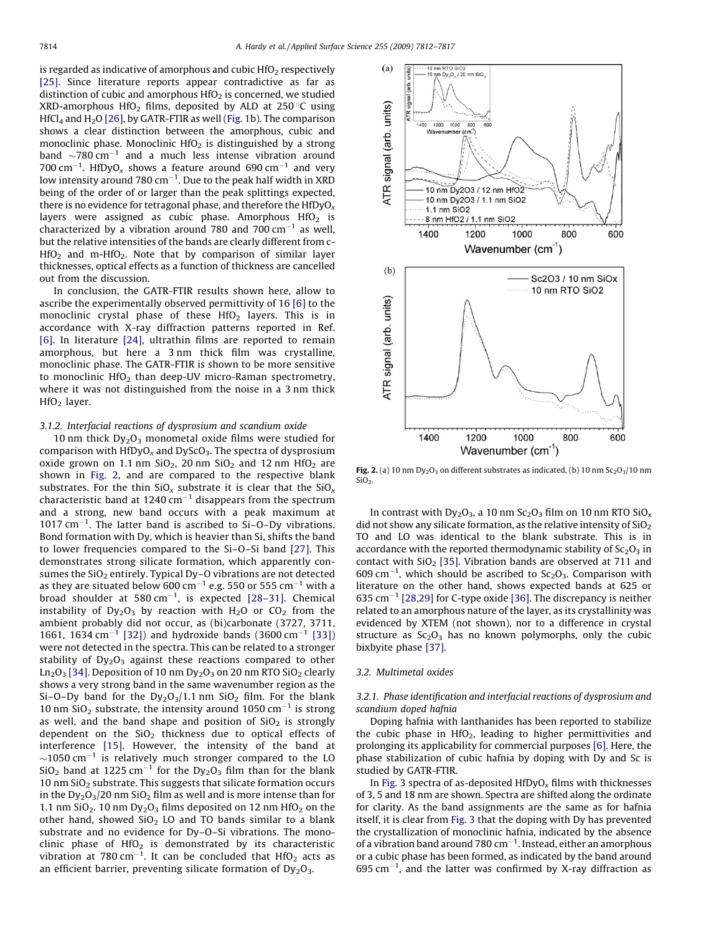<span id="page-2-0"></span>is regarded as indicative of amorphous and cubic  $HfO<sub>2</sub>$  respectively [\[25\]](#page-4-0). Since literature reports appear contradictive as far as distinction of cubic and amorphous  $HfO<sub>2</sub>$  is concerned, we studied XRD-amorphous HfO<sub>2</sub> films, deposited by ALD at 250 °C using HfCl<sub>4</sub> and H<sub>2</sub>O [\[26\],](#page-4-0) by GATR-FTIR as well [\(Fig. 1b](#page-1-0)). The comparison shows a clear distinction between the amorphous, cubic and monoclinic phase. Monoclinic  $HfO<sub>2</sub>$  is distinguished by a strong band  $\sim$ 780 cm<sup>-1</sup> and a much less intense vibration around 700 cm<sup>-1</sup>. HfDyO<sub>x</sub> shows a feature around 690 cm<sup>-1</sup> and very low intensity around 780  $\rm cm^{-1}$ . Due to the peak half width in XRD being of the order of or larger than the peak splittings expected, there is no evidence for tetragonal phase, and therefore the  $HIDyO<sub>x</sub>$ layers were assigned as cubic phase. Amorphous  $HfO<sub>2</sub>$  is characterized by a vibration around 780 and 700  $cm^{-1}$  as well, but the relative intensities of the bands are clearly different from c- $HfO<sub>2</sub>$  and m-HfO<sub>2</sub>. Note that by comparison of similar layer thicknesses, optical effects as a function of thickness are cancelled out from the discussion.

In conclusion, the GATR-FTIR results shown here, allow to ascribe the experimentally observed permittivity of 16 [\[6\]](#page-4-0) to the monoclinic crystal phase of these  $HfO<sub>2</sub>$  layers. This is in accordance with X-ray diffraction patterns reported in Ref. [\[6\].](#page-4-0) In literature [\[24\],](#page-4-0) ultrathin films are reported to remain amorphous, but here a 3 nm thick film was crystalline, monoclinic phase. The GATR-FTIR is shown to be more sensitive to monoclinic  $HfO<sub>2</sub>$  than deep-UV micro-Raman spectrometry, where it was not distinguished from the noise in a 3 nm thick HfO2 layer.

### 3.1.2. Interfacial reactions of dysprosium and scandium oxide

10 nm thick  $Dv<sub>2</sub>O<sub>3</sub>$  monometal oxide films were studied for comparison with  $HfDyO_x$  and  $DyScO_3$ . The spectra of dysprosium oxide grown on 1.1 nm  $SiO<sub>2</sub>$ , 20 nm  $SiO<sub>2</sub>$  and 12 nm  $HfO<sub>2</sub>$  are shown in Fig. 2, and are compared to the respective blank substrates. For the thin  $SiO_x$  substrate it is clear that the  $SiO_x$ characteristic band at 1240  $cm^{-1}$  disappears from the spectrum and a strong, new band occurs with a peak maximum at  $1017$  cm<sup>-1</sup>. The latter band is ascribed to Si-O-Dy vibrations. Bond formation with Dy, which is heavier than Si, shifts the band to lower frequencies compared to the Si–O–Si band [\[27\].](#page-4-0) This demonstrates strong silicate formation, which apparently consumes the SiO<sub>2</sub> entirely. Typical Dy-O vibrations are not detected as they are situated below 600 cm<sup>-1</sup> e.g. 550 or 555 cm<sup>-1</sup> with a broad shoulder at  $580 \text{ cm}^{-1}$ , is expected [\[28–31\]](#page-4-0). Chemical instability of  $Dy_2O_3$  by reaction with  $H_2O$  or  $CO_2$  from the ambient probably did not occur, as (bi)carbonate (3727, 3711, 1661, 1634 cm<sup>-1</sup> [\[32\]](#page-4-0)) and hydroxide bands (3600 cm<sup>-1</sup> [\[33\]\)](#page-4-0) were not detected in the spectra. This can be related to a stronger stability of  $Dy_2O_3$  against these reactions compared to other  $Ln<sub>2</sub>O<sub>3</sub>$  [\[34\]](#page-4-0). Deposition of 10 nm Dy<sub>2</sub>O<sub>3</sub> on 20 nm RTO SiO<sub>2</sub> clearly shows a very strong band in the same wavenumber region as the Si–O–Dy band for the  $Dy_2O_3/1.1$  nm SiO<sub>2</sub> film. For the blank 10 nm SiO<sub>2</sub> substrate, the intensity around 1050 cm<sup>-1</sup> is strong as well, and the band shape and position of  $SiO<sub>2</sub>$  is strongly dependent on the  $SiO<sub>2</sub>$  thickness due to optical effects of interference [\[15\].](#page-4-0) However, the intensity of the band at  $\sim$ 1050 cm<sup>-1</sup> is relatively much stronger compared to the LO  $SiO<sub>2</sub>$  band at 1225 cm<sup>-1</sup> for the Dy<sub>2</sub>O<sub>3</sub> film than for the blank 10 nm  $SiO<sub>2</sub>$  substrate. This suggests that silicate formation occurs in the  $Dy_2O_3/20$  nm  $SiO_2$  film as well and is more intense than for 1.1 nm  $SiO<sub>2</sub>$ . 10 nm  $Dy<sub>2</sub>O<sub>3</sub>$  films deposited on 12 nm HfO<sub>2</sub> on the other hand, showed  $SiO<sub>2</sub>$  LO and TO bands similar to a blank substrate and no evidence for Dy–O–Si vibrations. The monoclinic phase of  $HfO<sub>2</sub>$  is demonstrated by its characteristic vibration at  $780 \text{ cm}^{-1}$ . It can be concluded that HfO<sub>2</sub> acts as an efficient barrier, preventing silicate formation of  $Dy_2O_3$ .



Fig. 2. (a) 10 nm  $Dy_2O_3$  on different substrates as indicated, (b) 10 nm  $Sc_2O_3/10$  nm  $SiO<sub>2</sub>$ .

In contrast with  $Dy_2O_3$ , a 10 nm  $Sc_2O_3$  film on 10 nm RTO  $SiO<sub>x</sub>$ did not show any silicate formation, as the relative intensity of  $SiO<sub>2</sub>$ TO and LO was identical to the blank substrate. This is in accordance with the reported thermodynamic stability of  $Sc<sub>2</sub>O<sub>3</sub>$  in contact with  $SiO<sub>2</sub>$  [\[35\].](#page-4-0) Vibration bands are observed at 711 and  $609 \text{ cm}^{-1}$ , which should be ascribed to Sc<sub>2</sub>O<sub>3</sub>. Comparison with literature on the other hand, shows expected bands at 625 or 635 cm<sup>-1</sup> [\[28,29\]](#page-4-0) for C-type oxide [\[36\].](#page-4-0) The discrepancy is neither related to an amorphous nature of the layer, as its crystallinity was evidenced by XTEM (not shown), nor to a difference in crystal structure as  $Sc<sub>2</sub>O<sub>3</sub>$  has no known polymorphs, only the cubic bixbyite phase [\[37\]](#page-4-0).

#### 3.2. Multimetal oxides

# 3.2.1. Phase identification and interfacial reactions of dysprosium and scandium doped hafnia

Doping hafnia with lanthanides has been reported to stabilize the cubic phase in  $HfO<sub>2</sub>$ , leading to higher permittivities and prolonging its applicability for commercial purposes [\[6\].](#page-4-0) Here, the phase stabilization of cubic hafnia by doping with Dy and Sc is studied by GATR-FTIR.

In [Fig. 3](#page-3-0) spectra of as-deposited  $HfDyO<sub>x</sub>$  films with thicknesses of 3, 5 and 18 nm are shown. Spectra are shifted along the ordinate for clarity. As the band assignments are the same as for hafnia itself, it is clear from [Fig. 3](#page-3-0) that the doping with Dy has prevented the crystallization of monoclinic hafnia, indicated by the absence of a vibration band around 780  $\rm cm^{-1}$ . Instead, either an amorphous or a cubic phase has been formed, as indicated by the band around  $695$  cm<sup>-1</sup>, and the latter was confirmed by X-ray diffraction as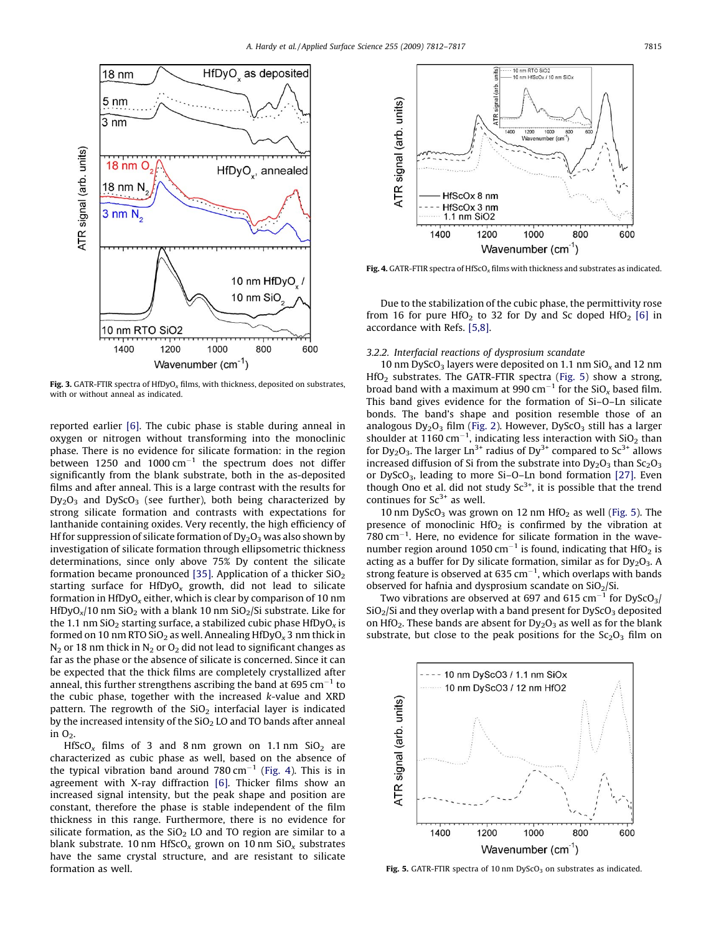<span id="page-3-0"></span>

Fig. 3. GATR-FTIR spectra of HfDyO<sub>x</sub> films, with thickness, deposited on substrates, with or without anneal as indicated.

reported earlier [\[6\]](#page-4-0). The cubic phase is stable during anneal in oxygen or nitrogen without transforming into the monoclinic phase. There is no evidence for silicate formation: in the region between 1250 and 1000  $cm^{-1}$  the spectrum does not differ significantly from the blank substrate, both in the as-deposited films and after anneal. This is a large contrast with the results for  $Dy_2O_3$  and  $DyScO_3$  (see further), both being characterized by strong silicate formation and contrasts with expectations for lanthanide containing oxides. Very recently, the high efficiency of Hf for suppression of silicate formation of  $Dy_2O_3$  was also shown by investigation of silicate formation through ellipsometric thickness determinations, since only above 75% Dy content the silicate formation became pronounced [\[35\]](#page-4-0). Application of a thicker  $SiO<sub>2</sub>$ starting surface for  $HfDyO_x$  growth, did not lead to silicate formation in HfDyO<sub>x</sub> either, which is clear by comparison of 10 nm HfDyO<sub>x</sub>/10 nm SiO<sub>2</sub> with a blank 10 nm SiO<sub>2</sub>/Si substrate. Like for the 1.1 nm SiO<sub>2</sub> starting surface, a stabilized cubic phase HfDyO<sub>x</sub> is formed on 10 nm RTO SiO<sub>2</sub> as well. Annealing HfDyO<sub>x</sub> 3 nm thick in  $N_2$  or 18 nm thick in  $N_2$  or  $O_2$  did not lead to significant changes as far as the phase or the absence of silicate is concerned. Since it can be expected that the thick films are completely crystallized after anneal, this further strengthens ascribing the band at 695  $cm^{-1}$  to the cubic phase, together with the increased k-value and XRD pattern. The regrowth of the  $SiO<sub>2</sub>$  interfacial layer is indicated by the increased intensity of the  $SiO<sub>2</sub>$  LO and TO bands after anneal in  $O<sub>2</sub>$ .

HfScO<sub>x</sub> films of 3 and 8 nm grown on 1.1 nm SiO<sub>2</sub> are characterized as cubic phase as well, based on the absence of the typical vibration band around 780 cm<sup>-1</sup> (Fig. 4). This is in agreement with X-ray diffraction [\[6\].](#page-4-0) Thicker films show an increased signal intensity, but the peak shape and position are constant, therefore the phase is stable independent of the film thickness in this range. Furthermore, there is no evidence for silicate formation, as the  $SiO<sub>2</sub>$  LO and TO region are similar to a blank substrate. 10 nm HfScO<sub>x</sub> grown on 10 nm SiO<sub>x</sub> substrates have the same crystal structure, and are resistant to silicate formation as well.



Fig. 4. GATR-FTIR spectra of HfScO<sub>x</sub> films with thickness and substrates as indicated.

Due to the stabilization of the cubic phase, the permittivity rose from 16 for pure HfO<sub>2</sub> to 32 for Dy and Sc doped HfO<sub>2</sub> [\[6\]](#page-4-0) in accordance with Refs. [\[5,8\].](#page-4-0)

#### 3.2.2. Interfacial reactions of dysprosium scandate

10 nm DyScO<sub>3</sub> layers were deposited on 1.1 nm  $SiO<sub>x</sub>$  and 12 nm  $HfO<sub>2</sub>$  substrates. The GATR-FTIR spectra (Fig. 5) show a strong, broad band with a maximum at 990 cm<sup>-1</sup> for the SiO<sub>x</sub> based film. This band gives evidence for the formation of Si–O–Ln silicate bonds. The band's shape and position resemble those of an analogous  $Dy_2O_3$  film ([Fig. 2\)](#page-2-0). However,  $DyScO_3$  still has a larger shoulder at 1160 cm<sup>-1</sup>, indicating less interaction with  $SiO<sub>2</sub>$  than for Dy<sub>2</sub>O<sub>3</sub>. The larger  $Ln^{3+}$  radius of Dy<sup>3+</sup> compared to Sc<sup>3+</sup> allows increased diffusion of Si from the substrate into  $Dy_2O_3$  than  $Sc_2O_3$ or DyScO3, leading to more Si–O–Ln bond formation [\[27\].](#page-4-0) Even though Ono et al. did not study  $Sc^{3+}$ , it is possible that the trend continues for  $Sc^{3+}$  as well.

10 nm DyScO<sub>3</sub> was grown on 12 nm  $HfO<sub>2</sub>$  as well (Fig. 5). The presence of monoclinic  $HfO<sub>2</sub>$  is confirmed by the vibration at  $780 \text{ cm}^{-1}$ . Here, no evidence for silicate formation in the wavenumber region around 1050 cm<sup>-1</sup> is found, indicating that  $HfO<sub>2</sub>$  is acting as a buffer for Dy silicate formation, similar as for  $Dy_2O_3$ . A strong feature is observed at 635  $cm^{-1}$ , which overlaps with bands observed for hafnia and dysprosium scandate on  $SiO<sub>2</sub>/Si$ .

Two vibrations are observed at 697 and 615 cm<sup>-1</sup> for DyScO<sub>3</sub>/  $SiO<sub>2</sub>/Si$  and they overlap with a band present for DyScO<sub>3</sub> deposited on HfO<sub>2</sub>. These bands are absent for  $Dy_2O_3$  as well as for the blank substrate, but close to the peak positions for the  $Sc<sub>2</sub>O<sub>3</sub>$  film on



Fig. 5. GATR-FTIR spectra of 10 nm  $DyScO<sub>3</sub>$  on substrates as indicated.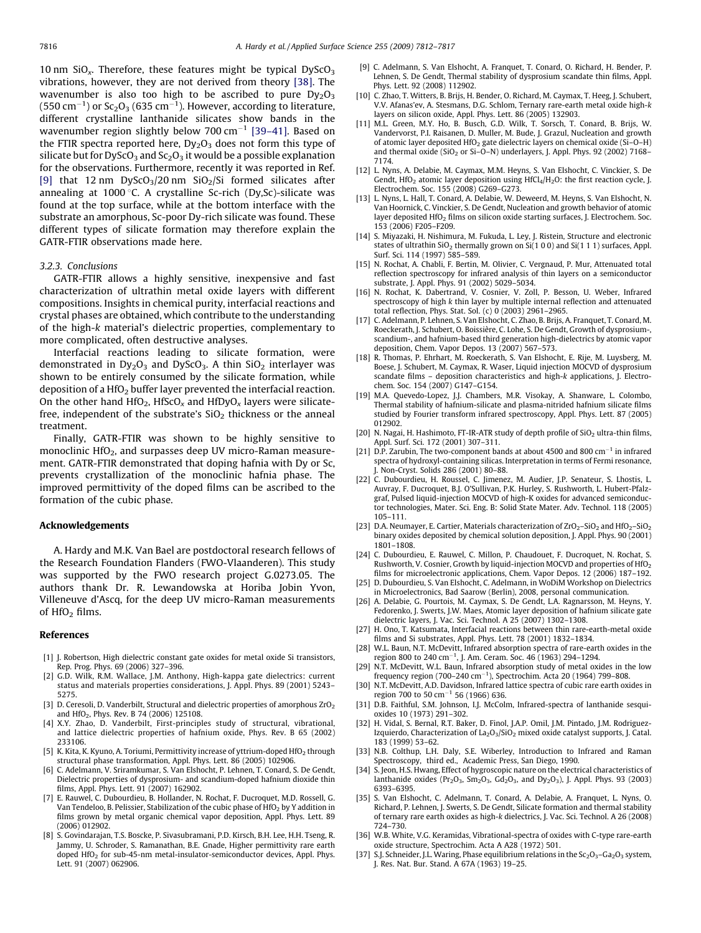<span id="page-4-0"></span>10 nm  $SiO<sub>x</sub>$ . Therefore, these features might be typical DyScO<sub>3</sub> vibrations, however, they are not derived from theory [\[38\]](#page-5-0). The wavenumber is also too high to be ascribed to pure  $Dv_2O_3$ (550 cm $^{-1}$ ) or Sc $_2$ O $_3$  (635 cm $^{-1}$ ). However, according to literature, different crystalline lanthanide silicates show bands in the wavenumber region slightly below 700 cm<sup>-1</sup> [39-41]. Based on the FTIR spectra reported here,  $Dy_2O_3$  does not form this type of silicate but for DyScO<sub>3</sub> and Sc<sub>2</sub>O<sub>3</sub> it would be a possible explanation for the observations. Furthermore, recently it was reported in Ref. [9] that 12 nm  $DyScO<sub>3</sub>/20$  nm  $SiO<sub>2</sub>/Si$  formed silicates after annealing at 1000 °C. A crystalline Sc-rich (Dy,Sc)-silicate was found at the top surface, while at the bottom interface with the substrate an amorphous, Sc-poor Dy-rich silicate was found. These different types of silicate formation may therefore explain the GATR-FTIR observations made here.

#### 3.2.3. Conclusions

GATR-FTIR allows a highly sensitive, inexpensive and fast characterization of ultrathin metal oxide layers with different compositions. Insights in chemical purity, interfacial reactions and crystal phases are obtained, which contribute to the understanding of the high-k material's dielectric properties, complementary to more complicated, often destructive analyses.

Interfacial reactions leading to silicate formation, were demonstrated in  $Dy_2O_3$  and  $DyScO_3$ . A thin  $SiO_2$  interlayer was shown to be entirely consumed by the silicate formation, while deposition of a HfO<sub>2</sub> buffer layer prevented the interfacial reaction. On the other hand  $HfO<sub>2</sub>$ , HfScO<sub>x</sub> and HfDyO<sub>x</sub> layers were silicatefree, independent of the substrate's  $SiO<sub>2</sub>$  thickness or the anneal treatment.

Finally, GATR-FTIR was shown to be highly sensitive to monoclinic HfO<sub>2</sub>, and surpasses deep UV micro-Raman measurement. GATR-FTIR demonstrated that doping hafnia with Dy or Sc, prevents crystallization of the monoclinic hafnia phase. The improved permittivity of the doped films can be ascribed to the formation of the cubic phase.

# Acknowledgements

A. Hardy and M.K. Van Bael are postdoctoral research fellows of the Research Foundation Flanders (FWO-Vlaanderen). This study was supported by the FWO research project G.0273.05. The authors thank Dr. R. Lewandowska at Horiba Jobin Yvon, Villeneuve d'Ascq, for the deep UV micro-Raman measurements of  $HfO<sub>2</sub>$  films.

#### References

- [1] J. Robertson, High dielectric constant gate oxides for metal oxide Si transistors, Rep. Prog. Phys. 69 (2006) 327–396.
- G.D. Wilk, R.M. Wallace, J.M. Anthony, High-kappa gate dielectrics: current status and materials properties considerations, J. Appl. Phys. 89 (2001) 5243– 5275.
- [3] D. Ceresoli, D. Vanderbilt, Structural and dielectric properties of amorphous  $ZrO<sub>2</sub>$ and HfO<sub>2</sub>, Phys. Rev. B 74 (2006) 125108.
- [4] X.Y. Zhao, D. Vanderbilt, First-principles study of structural, vibrational, and lattice dielectric properties of hafnium oxide, Phys. Rev. B 65 (2002) 233106.
- [5] K. Kita, K. Kyuno, A. Toriumi, Permittivity increase of yttrium-doped  $HfO<sub>2</sub>$  through structural phase transformation, Appl. Phys. Lett. 86 (2005) 102906.
- [6] C. Adelmann, V. Sriramkumar, S. Van Elshocht, P. Lehnen, T. Conard, S. De Gendt, Dielectric properties of dysprosium- and scandium-doped hafnium dioxide thin films, Appl. Phys. Lett. 91 (2007) 162902.
- [7] E. Rauwel, C. Dubourdieu, B. Hollander, N. Rochat, F. Ducroquet, M.D. Rossell, G. Van Tendeloo, B. Pelissier, Stabilization of the cubic phase of HfO<sub>2</sub> by Y addition in films grown by metal organic chemical vapor deposition, Appl. Phys. Lett. 89 (2006) 012902.
- [8] S. Govindarajan, T.S. Boscke, P. Sivasubramani, P.D. Kirsch, B.H. Lee, H.H. Tseng, R. Jammy, U. Schroder, S. Ramanathan, B.E. Gnade, Higher permittivity rare earth doped HfO<sub>2</sub> for sub-45-nm metal-insulator-semiconductor devices, Appl. Phys. Lett. 91 (2007) 062906.
- [9] C. Adelmann, S. Van Elshocht, A. Franquet, T. Conard, O. Richard, H. Bender, P. Lehnen, S. De Gendt, Thermal stability of dysprosium scandate thin films, Appl. Phys. Lett. 92 (2008) 112902.
- [10] C. Zhao, T. Witters, B. Brijs, H. Bender, O. Richard, M. Caymax, T. Heeg, J. Schubert, V.V. Afanas'ev, A. Stesmans, D.G. Schlom, Ternary rare-earth metal oxide high-k layers on silicon oxide, Appl. Phys. Lett. 86 (2005) 132903.
- [11] M.L. Green, M.Y. Ho, B. Busch, G.D. Wilk, T. Sorsch, T. Conard, B. Brijs, W. Vandervorst, P.I. Raisanen, D. Muller, M. Bude, J. Grazul, Nucleation and growth of atomic layer deposited HfO<sub>2</sub> gate dielectric layers on chemical oxide (Si-O-H) and thermal oxide (SiO<sub>2</sub> or Si-O-N) underlayers, J. Appl. Phys. 92 (2002) 7168– 7174.
- [12] L. Nyns, A. Delabie, M. Caymax, M.M. Heyns, S. Van Elshocht, C. Vinckier, S. De Gendt, HfO<sub>2</sub> atomic layer deposition using HfCl<sub>4</sub>/H<sub>2</sub>O: the first reaction cycle, J. Electrochem. Soc. 155 (2008) G269–G273.
- [13] L. Nyns, L. Hall, T. Conard, A. Delabie, W. Deweerd, M. Heyns, S. Van Elshocht, N. Van Hoornick, C. Vinckier, S. De Gendt, Nucleation and growth behavior of atomic layer deposited HfO<sub>2</sub> films on silicon oxide starting surfaces, J. Electrochem. Soc. 153 (2006) F205–F209.
- [14] S. Miyazaki, H. Nishimura, M. Fukuda, L. Ley, J. Ristein, Structure and electronic states of ultrathin  $SiO<sub>2</sub>$  thermally grown on  $Si(1 0 0)$  and  $Si(1 1 1)$  surfaces, Appl. Surf. Sci. 114 (1997) 585–589.
- [15] N. Rochat, A. Chabli, F. Bertin, M. Olivier, C. Vergnaud, P. Mur, Attenuated total reflection spectroscopy for infrared analysis of thin layers on a semiconductor substrate, J. Appl. Phys. 91 (2002) 5029–5034.
- [16] N. Rochat, K. Dabertrand, V. Cosnier, V. Zoll, P. Besson, U. Weber, Infrared spectroscopy of high k thin layer by multiple internal reflection and attenuated total reflection, Phys. Stat. Sol. (c) 0 (2003) 2961–2965.
- [17] C. Adelmann, P. Lehnen, S. Van Elshocht, C. Zhao, B. Brijs, A. Franquet, T. Conard, M. Roeckerath, J. Schubert, O. Boissière, C. Lohe, S. De Gendt, Growth of dysprosium-, scandium-, and hafnium-based third generation high-dielectrics by atomic vapor deposition, Chem. Vapor Depos. 13 (2007) 567–573.
- [18] R. Thomas, P. Ehrhart, M. Roeckerath, S. Van Elshocht, E. Rije, M. Luysberg, M. Boese, J. Schubert, M. Caymax, R. Waser, Liquid injection MOCVD of dysprosium scandate films – deposition characteristics and high-k applications, J. Electrochem. Soc. 154 (2007) G147–G154.
- [19] M.A. Quevedo-Lopez, J.J. Chambers, M.R. Visokay, A. Shanware, L. Colombo, Thermal stability of hafnium-silicate and plasma-nitrided hafnium silicate films studied by Fourier transform infrared spectroscopy, Appl. Phys. Lett. 87 (2005) 012902.
- [20] N. Nagai, H. Hashimoto, FT-IR-ATR study of depth profile of  $SiO<sub>2</sub>$  ultra-thin films, Appl. Surf. Sci. 172 (2001) 307–311.
- [21] D.P. Zarubin, The two-component bands at about 4500 and 800  $cm^{-1}$  in infrared spectra of hydroxyl-containing silicas. Interpretation in terms of Fermi resonance, J. Non-Cryst. Solids 286 (2001) 80–88.
- [22] C. Dubourdieu, H. Roussel, C. Jimenez, M. Audier, J.P. Senateur, S. Lhostis, L. Auvray, F. Ducroquet, B.J. O'Sullivan, P.K. Hurley, S. Rushworth, L. Hubert-Pfalzgraf, Pulsed liquid-injection MOCVD of high-K oxides for advanced semiconductor technologies, Mater. Sci. Eng. B: Solid State Mater. Adv. Technol. 118 (2005) 105–111.
- [23] D.A. Neumayer, E. Cartier, Materials characterization of  $ZrO<sub>2</sub>$ –SiO<sub>2</sub> and HfO<sub>2</sub>–SiO<sub>2</sub> binary oxides deposited by chemical solution deposition, J. Appl. Phys. 90 (2001) 1801–1808.
- [24] C. Dubourdieu, E. Rauwel, C. Millon, P. Chaudouet, F. Ducroquet, N. Rochat, S. Rushworth, V. Cosnier, Growth by liquid-injection MOCVD and properties of HfO<sub>2</sub> films for microelectronic applications, Chem. Vapor Depos. 12 (2006) 187–192.
- [25] D. Dubourdieu, S. Van Elshocht, C. Adelmann, in WoDiM Workshop on Dielectrics in Microelectronics, Bad Saarow (Berlin), 2008, personal communication.
- [26] A. Delabie, G. Pourtois, M. Caymax, S. De Gendt, L.A. Ragnarsson, M. Heyns, Y. Fedorenko, J. Swerts, J.W. Maes, Atomic layer deposition of hafnium silicate gate dielectric layers, J. Vac. Sci. Technol. A 25 (2007) 1302–1308.
- [27] H. Ono, T. Katsumata, Interfacial reactions between thin rare-earth-metal oxide films and Si substrates, Appl. Phys. Lett. 78 (2001) 1832–1834.
- [28] W.L. Baun, N.T. McDevitt, Infrared absorption spectra of rare-earth oxides in the region 800 to 240 cm<sup>-1</sup>, J. Am. Ceram. Soc. 46 (1963) 294-1294.
- [29] N.T. McDevitt, W.L. Baun, Infrared absorption study of metal oxides in the low frequency region (700–240 cm<sup>-1</sup>), Spectrochim. Acta 20 (1964) 799–808.
- [30] N.T. McDevitt, A.D. Davidson, Infrared lattice spectra of cubic rare earth oxides in<br>region 700 to 50 cm $^{-1}$  56 (1966) 636.
- [31] D.B. Faithful, S.M. Johnson, I.J. McColm, Infrared-spectra of lanthanide sesquioxides 10 (1973) 291–302.
- [32] H. Vidal, S. Bernal, R.T. Baker, D. Finol, J.A.P. Omil, J.M. Pintado, J.M. Rodriguez-Izquierdo, Characterization of  $La_2O_3/SiO_2$  mixed oxide catalyst supports, J. Catal. 183 (1999) 53–62.
- [33] N.B. Colthup, L.H. Daly, S.E. Wiberley, Introduction to Infrared and Raman Spectroscopy, third ed., Academic Press, San Diego, 1990.
- S. Jeon, H.S. Hwang, Effect of hygroscopic nature on the electrical characteristics of lanthanide oxides ( $Pr_2O_3$ ,  $Sm_2O_3$ ,  $Gd_2O_3$ , and  $Dy_2O_3$ ), J. Appl. Phys. 93 (2003) 6393–6395.
- [35] S. Van Elshocht, C. Adelmann, T. Conard, A. Delabie, A. Franquet, L. Nyns, O. Richard, P. Lehnen, J. Swerts, S. De Gendt, Silicate formation and thermal stability of ternary rare earth oxides as high-k dielectrics, J. Vac. Sci. Technol. A 26 (2008) 724–730.
- [36] W.B. White, V.G. Keramidas, Vibrational-spectra of oxides with C-type rare-earth oxide structure, Spectrochim. Acta A A28 (1972) 501.
- [37] S.J. Schneider, J.L. Waring, Phase equilibrium relations in the  $Sc_2O_3-Ga_2O_3$  system, J. Res. Nat. Bur. Stand. A 67A (1963) 19–25.